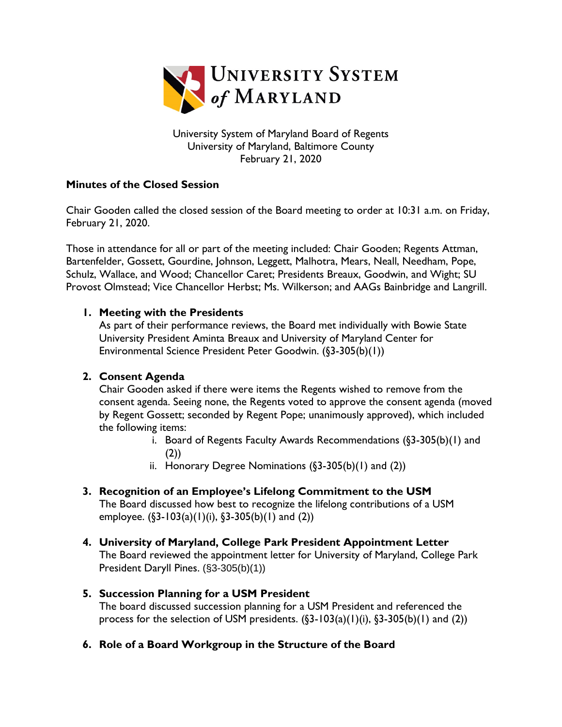

University System of Maryland Board of Regents University of Maryland, Baltimore County February 21, 2020

## **Minutes of the Closed Session**

Chair Gooden called the closed session of the Board meeting to order at 10:31 a.m. on Friday, February 21, 2020.

Those in attendance for all or part of the meeting included: Chair Gooden; Regents Attman, Bartenfelder, Gossett, Gourdine, Johnson, Leggett, Malhotra, Mears, Neall, Needham, Pope, Schulz, Wallace, and Wood; Chancellor Caret; Presidents Breaux, Goodwin, and Wight; SU Provost Olmstead; Vice Chancellor Herbst; Ms. Wilkerson; and AAGs Bainbridge and Langrill.

## **1. Meeting with the Presidents**

As part of their performance reviews, the Board met individually with Bowie State University President Aminta Breaux and University of Maryland Center for Environmental Science President Peter Goodwin. (§3-305(b)(1))

## **2. Consent Agenda**

Chair Gooden asked if there were items the Regents wished to remove from the consent agenda. Seeing none, the Regents voted to approve the consent agenda (moved by Regent Gossett; seconded by Regent Pope; unanimously approved), which included the following items:

- i. Board of Regents Faculty Awards Recommendations (§3-305(b)(1) and (2))
- ii. Honorary Degree Nominations  $(\S 3 305(b)(1)$  and  $(2))$
- **3. Recognition of an Employee's Lifelong Commitment to the USM** The Board discussed how best to recognize the lifelong contributions of a USM employee.  $(\S3 - 103(a)(1)(i), \S3 - 305(b)(1)$  and  $(2))$
- **4. University of Maryland, College Park President Appointment Letter** The Board reviewed the appointment letter for University of Maryland, College Park President Daryll Pines. (§3-305(b)(1))
- **5. Succession Planning for a USM President**

The board discussed succession planning for a USM President and referenced the process for the selection of USM presidents.  $(\S_3 - 103(a)(1)(i), \S_3 - 305(b)(1)$  and  $(2))$ 

**6. Role of a Board Workgroup in the Structure of the Board**